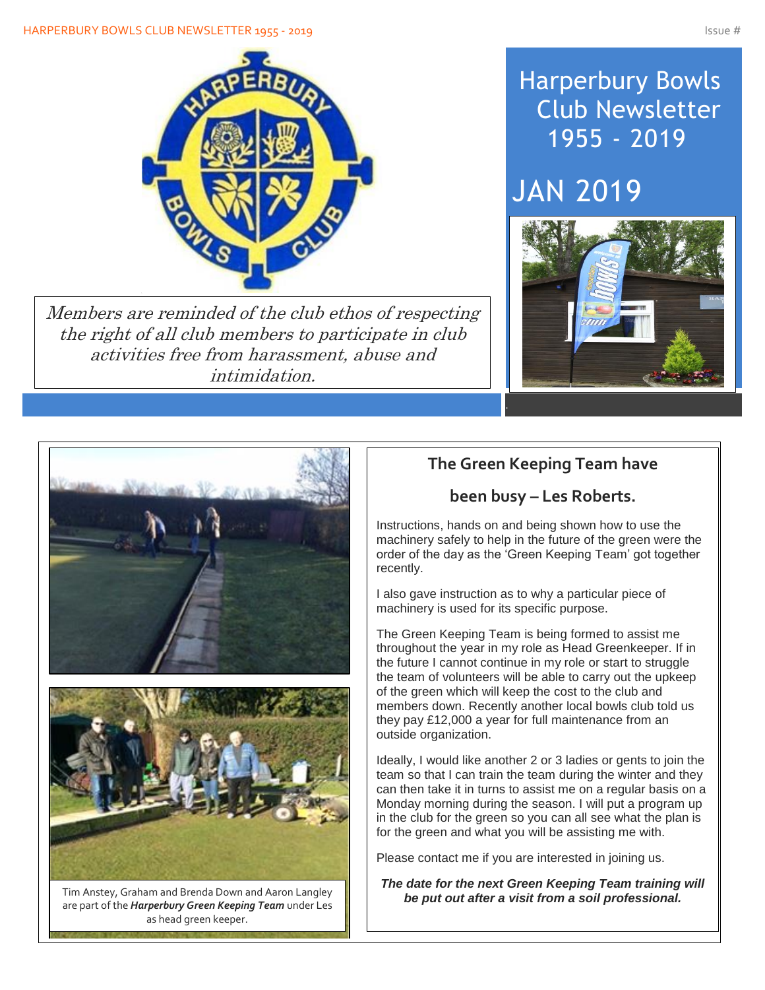

Members are reminded of the club ethos of respecting the right of all club members to participate in club activities free from harassment, abuse and intimidation.

# Harperbury Bowls Club Newsletter 1955 - 2019

# JAN 2019





are part of the *Harperbury Green Keeping Team* under Les as head green keeper.

## **The Green Keeping Team have**

## **been busy – Les Roberts.**

Instructions, hands on and being shown how to use the machinery safely to help in the future of the green were the order of the day as the 'Green Keeping Team' got together recently.

I also gave instruction as to why a particular piece of machinery is used for its specific purpose.

The Green Keeping Team is being formed to assist me throughout the year in my role as Head Greenkeeper. If in the future I cannot continue in my role or start to struggle the team of volunteers will be able to carry out the upkeep of the green which will keep the cost to the club and members down. Recently another local bowls club told us they pay £12,000 a year for full maintenance from an outside organization.

Ideally, I would like another 2 or 3 ladies or gents to join the team so that I can train the team during the winter and they can then take it in turns to assist me on a regular basis on a Monday morning during the season. I will put a program up in the club for the green so you can all see what the plan is for the green and what you will be assisting me with.

Please contact me if you are interested in joining us.

*The date for the next Green Keeping Team training will be put out after a visit from a soil professional.* Tim Anstey, Graham and Brenda Down and Aaron Langley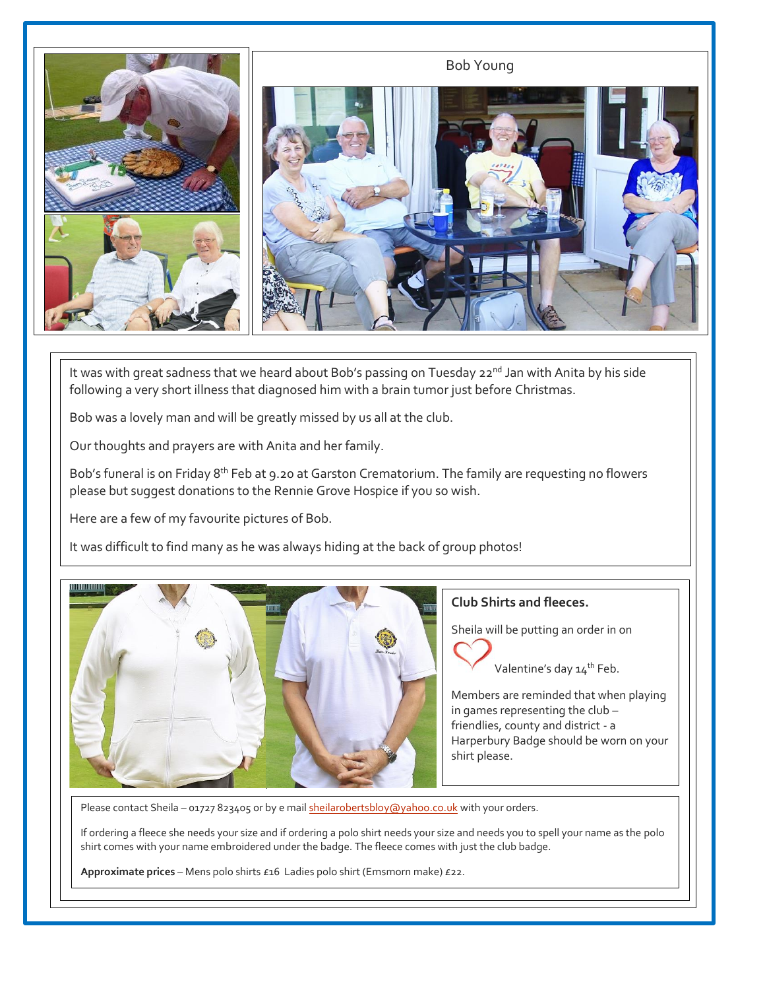

It was with great sadness that we heard about Bob's passing on Tuesday 22<sup>nd</sup> Jan with Anita by his side following a very short illness that diagnosed him with a brain tumor just before Christmas.

Bob was a lovely man and will be greatly missed by us all at the club.

Our thoughts and prayers are with Anita and her family.

Bob's funeral is on Friday 8<sup>th</sup> Feb at 9.20 at Garston Crematorium. The family are requesting no flowers please but suggest donations to the Rennie Grove Hospice if you so wish.

Here are a few of my favourite pictures of Bob.

It was difficult to find many as he was always hiding at the back of group photos!



#### **Club Shirts and fleeces.**

Sheila will be putting an order in on

Valentine's day 14<sup>th</sup> Feb.

Members are reminded that when playing in games representing the club – friendlies, county and district - a Harperbury Badge should be worn on your shirt please.

Please contact Sheila - 01727 823405 or by e mail **sheilarobertsbloy@yahoo.co.uk** with your orders.

If ordering a fleece she needs your size and if ordering a polo shirt needs your size and needs you to spell your name as the polo shirt comes with your name embroidered under the badge. The fleece comes with just the club badge.

**Approximate prices** – Mens polo shirts £16 Ladies polo shirt (Emsmorn make) £22.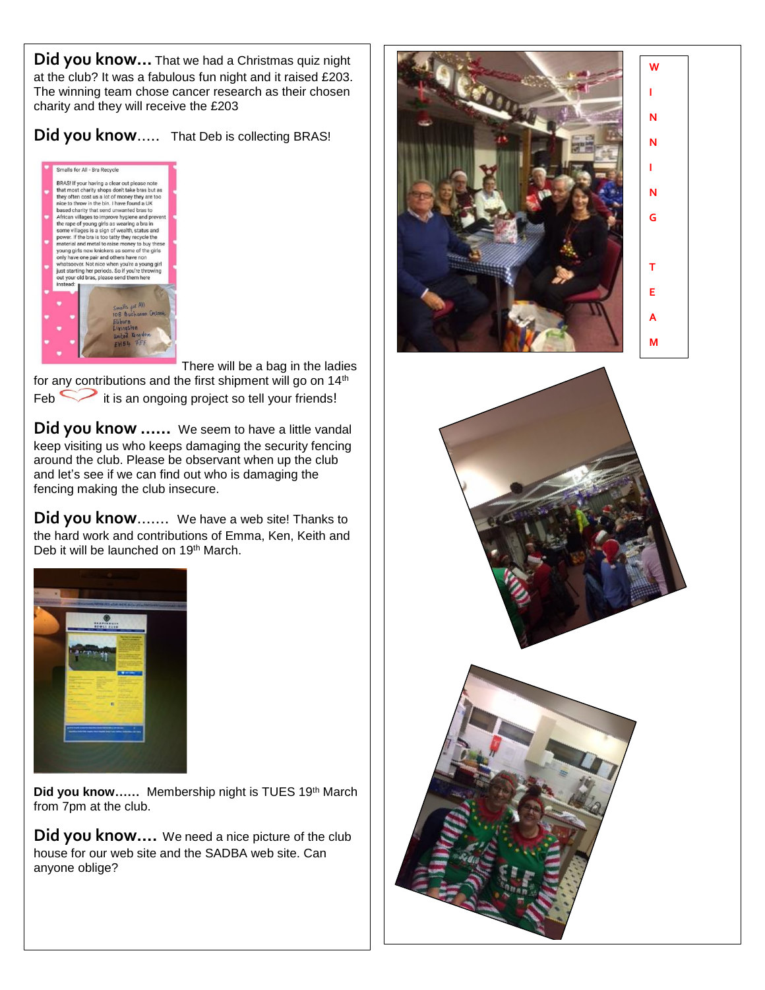**Did you know…** That we had a Christmas quiz night at the club? It was a fabulous fun night and it raised £203. The winning team chose cancer research as their chosen charity and they will receive the £203

#### **Did you know**….. That Deb is collecting BRAS!



There will be a bag in the ladies

for any contributions and the first shipment will go on 14<sup>th</sup>  $\epsilon$  Feb  $\sim$  it is an ongoing project so tell your friends!

**Did you know ……** We seem to have a little vandal keep visiting us who keeps damaging the security fencing around the club. Please be observant when up the club and let's see if we can find out who is damaging the fencing making the club insecure.

**Did you know**……. We have a web site! Thanks to the hard work and contributions of Emma, Ken, Keith and Deb it will be launched on 19<sup>th</sup> March.



Did you know...... Membership night is TUES 19th March from 7pm at the club.

**Did you know….** We need a nice picture of the club house for our web site and the SADBA web site. Can anyone oblige?